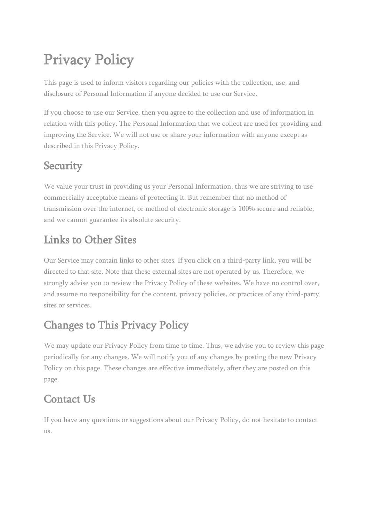# Privacy Policy

This page is used to inform visitors regarding our policies with the collection, use, and disclosure of Personal Information if anyone decided to use our Service.

If you choose to use our Service, then you agree to the collection and use of information in relation with this policy. The Personal Information that we collect are used for providing and improving the Service. We will not use or share your information with anyone except as described in this Privacy Policy.

#### **Security**

We value your trust in providing us your Personal Information, thus we are striving to use commercially acceptable means of protecting it. But remember that no method of transmission over the internet, or method of electronic storage is 100% secure and reliable, and we cannot guarantee its absolute security.

#### Links to Other Sites

Our Service may contain links to other sites. If you click on a third-party link, you will be directed to that site. Note that these external sites are not operated by us. Therefore, we strongly advise you to review the Privacy Policy of these websites. We have no control over, and assume no responsibility for the content, privacy policies, or practices of any third-party sites or services.

### Changes to This Privacy Policy

We may update our Privacy Policy from time to time. Thus, we advise you to review this page periodically for any changes. We will notify you of any changes by posting the new Privacy Policy on this page. These changes are effective immediately, after they are posted on this page.

#### Contact Us

If you have any questions or suggestions about our Privacy Policy, do not hesitate to contact us.